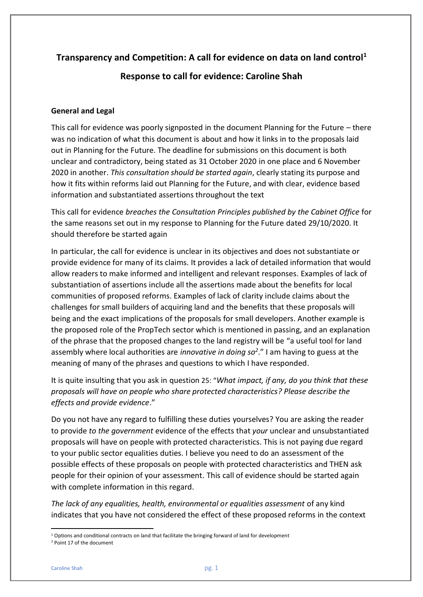# **Transparency and Competition: A call for evidence on data on land control<sup>1</sup>**

**Response to call for evidence: Caroline Shah**

## **General and Legal**

This call for evidence was poorly signposted in the document Planning for the Future – there was no indication of what this document is about and how it links in to the proposals laid out in Planning for the Future. The deadline for submissions on this document is both unclear and contradictory, being stated as 31 October 2020 in one place and 6 November 2020 in another. *This consultation should be started again*, clearly stating its purpose and how it fits within reforms laid out Planning for the Future, and with clear, evidence based information and substantiated assertions throughout the text

This call for evidence *breaches the Consultation Principles published by the Cabinet Office* for the same reasons set out in my response to Planning for the Future dated 29/10/2020. It should therefore be started again

In particular, the call for evidence is unclear in its objectives and does not substantiate or provide evidence for many of its claims. It provides a lack of detailed information that would allow readers to make informed and intelligent and relevant responses. Examples of lack of substantiation of assertions include all the assertions made about the benefits for local communities of proposed reforms. Examples of lack of clarity include claims about the challenges for small builders of acquiring land and the benefits that these proposals will being and the exact implications of the proposals for small developers. Another example is the proposed role of the PropTech sector which is mentioned in passing, and an explanation of the phrase that the proposed changes to the land registry will be "a useful tool for land assembly where local authorities are *innovative in doing so<sup>2</sup>* ." I am having to guess at the meaning of many of the phrases and questions to which I have responded.

It is quite insulting that you ask in question 25: "*What impact, if any, do you think that these proposals will have on people who share protected characteristics? Please describe the effects and provide evidence*."

Do you not have any regard to fulfilling these duties yourselves? You are asking the reader to provide *to the government* evidence of the effects that *your* unclear and unsubstantiated proposals will have on people with protected characteristics. This is not paying due regard to your public sector equalities duties. I believe you need to do an assessment of the possible effects of these proposals on people with protected characteristics and THEN ask people for their opinion of your assessment. This call of evidence should be started again with complete information in this regard.

*The lack of any equalities, health, environmental or equalities assessment* of any kind indicates that you have not considered the effect of these proposed reforms in the context

 $1$  Options and conditional contracts on land that facilitate the bringing forward of land for development

<sup>2</sup> Point 17 of the document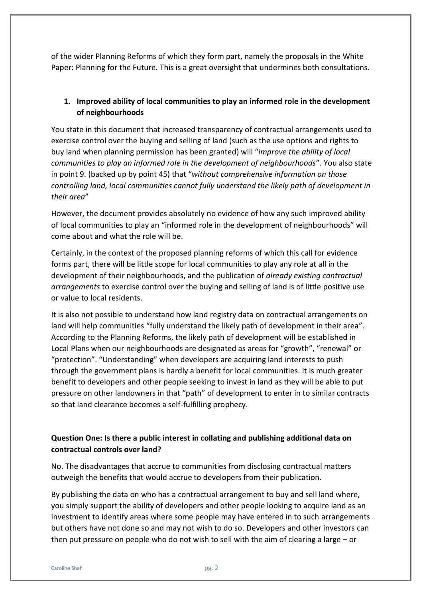of the wider Planning Reforms of which they form part, namely the proposals in the White Paper: Planning for the Future. This is a great oversight that undermines both consultations.

## **1. Improved ability of local communities to play an informed role in the development of neighbourhoods**

You state in this document that increased transparency of contractual arrangements used to exercise control over the buying and selling of land (such as the use options and rights to buy land when planning permission has been granted) will "*improve the ability of local communities to play an informed role in the development of neighbourhoods*". You also state in point 9. (backed up by point 45) that "*without comprehensive information on those controlling land, local communities cannot fully understand the likely path of development in their area*"

However, the document provides absolutely no evidence of how any such improved ability of local communities to play an "informed role in the development of neighbourhoods" will come about and what the role will be.

Certainly, in the context of the proposed planning reforms of which this call for evidence forms part, there will be little scope for local communities to play any role at all in the development of their neighbourhoods, and the publication of *already existing contractual arrangements* to exercise control over the buying and selling of land is of little positive use or value to local residents.

It is also not possible to understand how land registry data on contractual arrangements on land will help communities "fully understand the likely path of development in their area". According to the Planning Reforms, the likely path of development will be established in Local Plans when our neighbourhoods are designated as areas for "growth", "renewal" or "protection". "Understanding" when developers are acquiring land interests to push through the government plans is hardly a benefit for local communities. It is much greater benefit to developers and other people seeking to invest in land as they will be able to put pressure on other landowners in that "path" of development to enter in to similar contracts so that land clearance becomes a self-fulfilling prophecy.

# **Question One: Is there a public interest in collating and publishing additional data on contractual controls over land?**

No. The disadvantages that accrue to communities from disclosing contractual matters outweigh the benefits that would accrue to developers from their publication.

By publishing the data on who has a contractual arrangement to buy and sell land where, you simply support the ability of developers and other people looking to acquire land as an investment to identify areas where some people may have entered in to such arrangements but others have not done so and may not wish to do so. Developers and other investors can then put pressure on people who do not wish to sell with the aim of clearing a large – or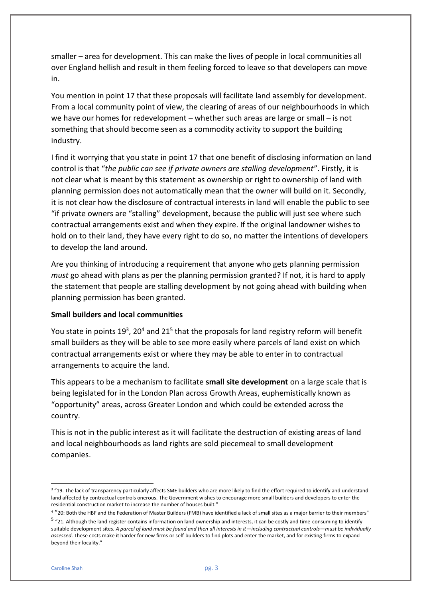smaller – area for development. This can make the lives of people in local communities all over England hellish and result in them feeling forced to leave so that developers can move in.

You mention in point 17 that these proposals will facilitate land assembly for development. From a local community point of view, the clearing of areas of our neighbourhoods in which we have our homes for redevelopment – whether such areas are large or small – is not something that should become seen as a commodity activity to support the building industry.

I find it worrying that you state in point 17 that one benefit of disclosing information on land control is that "*the public can see if private owners are stalling development*". Firstly, it is not clear what is meant by this statement as ownership or right to ownership of land with planning permission does not automatically mean that the owner will build on it. Secondly, it is not clear how the disclosure of contractual interests in land will enable the public to see "if private owners are "stalling" development, because the public will just see where such contractual arrangements exist and when they expire. If the original landowner wishes to hold on to their land, they have every right to do so, no matter the intentions of developers to develop the land around.

Are you thinking of introducing a requirement that anyone who gets planning permission *must* go ahead with plans as per the planning permission granted? If not, it is hard to apply the statement that people are stalling development by not going ahead with building when planning permission has been granted.

#### **Small builders and local communities**

You state in points 19<sup>3</sup>, 20<sup>4</sup> and 21<sup>5</sup> that the proposals for land registry reform will benefit small builders as they will be able to see more easily where parcels of land exist on which contractual arrangements exist or where they may be able to enter in to contractual arrangements to acquire the land.

This appears to be a mechanism to facilitate **small site development** on a large scale that is being legislated for in the London Plan across Growth Areas, euphemistically known as "opportunity" areas, across Greater London and which could be extended across the country.

This is not in the public interest as it will facilitate the destruction of existing areas of land and local neighbourhoods as land rights are sold piecemeal to small development companies.

<sup>3</sup> "19. The lack of transparency particularly affects SME builders who are more likely to find the effort required to identify and understand land affected by contractual controls onerous. The Government wishes to encourage more small builders and developers to enter the residential construction market to increase the number of houses built."

<sup>&</sup>lt;sup>4</sup> "20: Both the HBF and the Federation of Master Builders (FMB) have identified a lack of small sites as a major barrier to their members"

<sup>&</sup>lt;sup>5</sup> "21. Although the land register contains information on land ownership and interests, it can be costly and time-consuming to identify suitable development sites*. A parcel of land must be found and then all interests in it—including contractual controls—must be individually assessed*. These costs make it harder for new firms or self-builders to find plots and enter the market, and for existing firms to expand beyond their locality."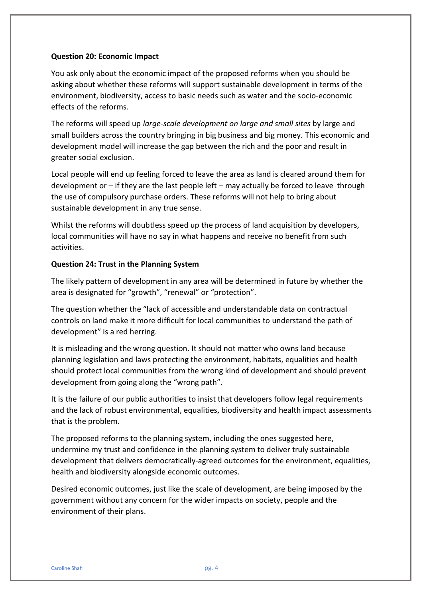#### **Question 20: Economic Impact**

You ask only about the economic impact of the proposed reforms when you should be asking about whether these reforms will support sustainable development in terms of the environment, biodiversity, access to basic needs such as water and the socio-economic effects of the reforms.

The reforms will speed up *large-scale development on large and small sites* by large and small builders across the country bringing in big business and big money. This economic and development model will increase the gap between the rich and the poor and result in greater social exclusion.

Local people will end up feeling forced to leave the area as land is cleared around them for development or – if they are the last people left – may actually be forced to leave through the use of compulsory purchase orders. These reforms will not help to bring about sustainable development in any true sense.

Whilst the reforms will doubtless speed up the process of land acquisition by developers, local communities will have no say in what happens and receive no benefit from such activities.

#### **Question 24: Trust in the Planning System**

The likely pattern of development in any area will be determined in future by whether the area is designated for "growth", "renewal" or "protection".

The question whether the "lack of accessible and understandable data on contractual controls on land make it more difficult for local communities to understand the path of development" is a red herring.

It is misleading and the wrong question. It should not matter who owns land because planning legislation and laws protecting the environment, habitats, equalities and health should protect local communities from the wrong kind of development and should prevent development from going along the "wrong path".

It is the failure of our public authorities to insist that developers follow legal requirements and the lack of robust environmental, equalities, biodiversity and health impact assessments that is the problem.

The proposed reforms to the planning system, including the ones suggested here, undermine my trust and confidence in the planning system to deliver truly sustainable development that delivers democratically-agreed outcomes for the environment, equalities, health and biodiversity alongside economic outcomes.

Desired economic outcomes, just like the scale of development, are being imposed by the government without any concern for the wider impacts on society, people and the environment of their plans.